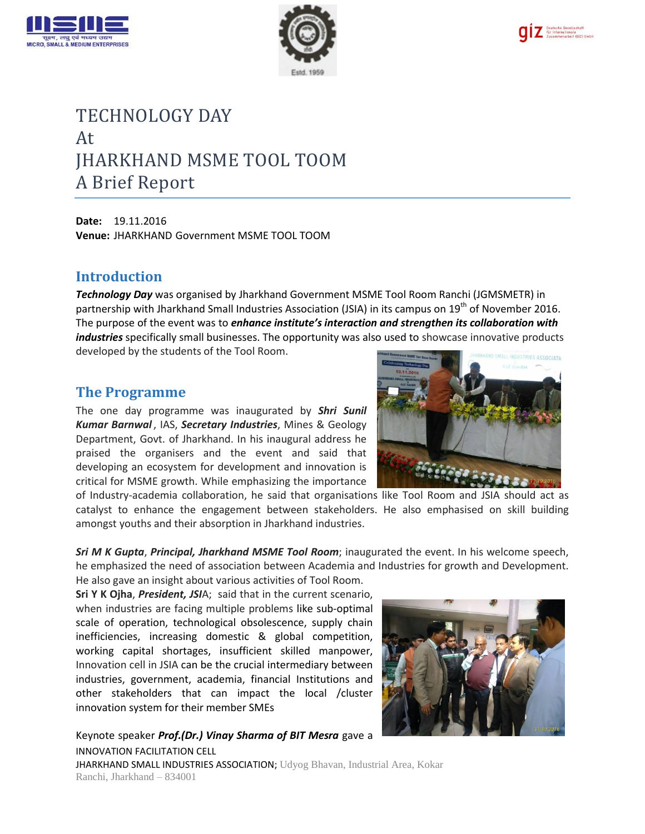





# TECHNOLOGY DAY At JHARKHAND MSME TOOL TOOM A Brief Report

**Date:** 19.11.2016 **Venue:** JHARKHAND Government MSME TOOL TOOM

### **Introduction**

*Technology Day* was organised by Jharkhand Government MSME Tool Room Ranchi (JGMSMETR) in partnership with Jharkhand Small Industries Association (JSIA) in its campus on 19<sup>th</sup> of November 2016. The purpose of the event was to *enhance institute's interaction and strengthen its collaboration with industries* specifically small businesses. The opportunity was also used to showcase innovative products developed by the students of the Tool Room.

#### **The Programme**

The one day programme was inaugurated by *Shri Sunil Kumar Barnwal* , IAS, *Secretary Industries*, Mines & Geology Department, Govt. of Jharkhand. In his inaugural address he praised the organisers and the event and said that developing an ecosystem for development and innovation is critical for MSME growth. While emphasizing the importance



of Industry-academia collaboration, he said that organisations like Tool Room and JSIA should act as catalyst to enhance the engagement between stakeholders. He also emphasised on skill building amongst youths and their absorption in Jharkhand industries.

*Sri M K Gupta*, *Principal, Jharkhand MSME Tool Room*; inaugurated the event. In his welcome speech, he emphasized the need of association between Academia and Industries for growth and Development. He also gave an insight about various activities of Tool Room.

**Sri Y K Ojha**, *President, JSI*A; said that in the current scenario, when industries are facing multiple problems like sub-optimal scale of operation, technological obsolescence, supply chain inefficiencies, increasing domestic & global competition, working capital shortages, insufficient skilled manpower, Innovation cell in JSIA can be the crucial intermediary between industries, government, academia, financial Institutions and other stakeholders that can impact the local /cluster innovation system for their member SMEs

INNOVATION FACILITATION CELL JHARKHAND SMALL INDUSTRIES ASSOCIATION; Udyog Bhavan, Industrial Area, Kokar Ranchi, Jharkhand – 834001 Keynote speaker *Prof.(Dr.) Vinay Sharma of BIT Mesra* gave a